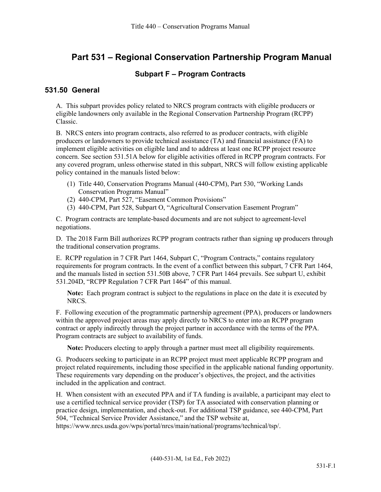# **Part 531 – Regional Conservation Partnership Program Manual**

### **Subpart F – Program Contracts**

### **531.50 General**

A. This subpart provides policy related to NRCS program contracts with eligible producers or eligible landowners only available in the Regional Conservation Partnership Program (RCPP) Classic.

B. NRCS enters into program contracts, also referred to as producer contracts, with eligible producers or landowners to provide technical assistance (TA) and financial assistance (FA) to implement eligible activities on eligible land and to address at least one RCPP project resource concern. See section 531.51A below for eligible activities offered in RCPP program contracts. For any covered program, unless otherwise stated in this subpart, NRCS will follow existing applicable policy contained in the manuals listed below:

- (1) Title 440, Conservation Programs Manual (440-CPM), Part 530, "Working Lands Conservation Programs Manual"
- (2) 440-CPM, Part 527, "Easement Common Provisions"
- (3) 440-CPM, Part 528, Subpart O, "Agricultural Conservation Easement Program"

C. Program contracts are template-based documents and are not subject to agreement-level negotiations.

D. The 2018 Farm Bill authorizes RCPP program contracts rather than signing up producers through the traditional conservation programs.

E. RCPP regulation in 7 CFR Part 1464, Subpart C, "Program Contracts," contains regulatory requirements for program contracts. In the event of a conflict between this subpart, 7 CFR Part 1464, and the manuals listed in section 531.50B above, 7 CFR Part 1464 prevails. See subpart U, exhibit 531.204D, "RCPP Regulation 7 CFR Part 1464" of this manual.

**Note:** Each program contract is subject to the regulations in place on the date it is executed by NRCS.

F. Following execution of the programmatic partnership agreement (PPA), producers or landowners within the approved project areas may apply directly to NRCS to enter into an RCPP program contract or apply indirectly through the project partner in accordance with the terms of the PPA. Program contracts are subject to availability of funds.

**Note:** Producers electing to apply through a partner must meet all eligibility requirements.

G. Producers seeking to participate in an RCPP project must meet applicable RCPP program and project related requirements, including those specified in the applicable national funding opportunity. These requirements vary depending on the producer's objectives, the project, and the activities included in the application and contract.

H. When consistent with an executed PPA and if TA funding is available, a participant may elect to use a certified technical service provider (TSP) for TA associated with conservation planning or practice design, implementation, and check-out. For additional TSP guidance, see 440-CPM, Part 504, "Technical Service Provider Assistance," and the TSP website at,

[https://www.nrcs.usda.gov/wps/portal/nrcs/main/national/programs/technical/tsp/.](https://www.nrcs.usda.gov/wps/portal/nrcs/main/national/programs/technical/tsp/)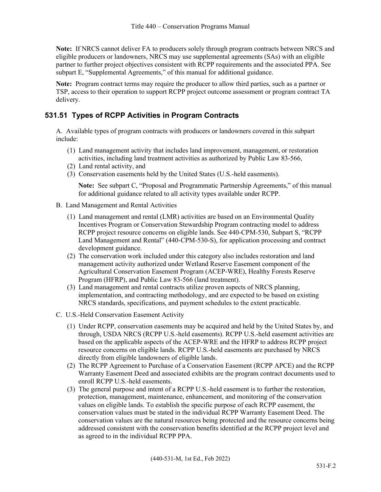**Note:** If NRCS cannot deliver FA to producers solely through program contracts between NRCS and eligible producers or landowners, NRCS may use supplemental agreements (SAs) with an eligible partner to further project objectives consistent with RCPP requirements and the associated PPA. See subpart E, "Supplemental Agreements," of this manual for additional guidance.

**Note:** Program contract terms may require the producer to allow third parties, such as a partner or TSP, access to their operation to support RCPP project outcome assessment or program contract TA delivery.

# **531.51 Types of RCPP Activities in Program Contracts**

A. Available types of program contracts with producers or landowners covered in this subpart include:

- (1) Land management activity that includes land improvement, management, or restoration activities, including land treatment activities as authorized by Public Law 83-566,
- (2) Land rental activity, and
- (3) Conservation easements held by the United States (U.S.-held easements).

**Note:** See subpart C, "Proposal and Programmatic Partnership Agreements," of this manual for additional guidance related to all activity types available under RCPP.

- B. Land Management and Rental Activities
	- (1) Land management and rental (LMR) activities are based on an Environmental Quality Incentives Program or Conservation Stewardship Program contracting model to address RCPP project resource concerns on eligible lands. See 440-CPM-530, Subpart S, "RCPP Land Management and Rental" (440-CPM-530-S), for application processing and contract development guidance.
	- (2) The conservation work included under this category also includes restoration and land management activity authorized under Wetland Reserve Easement component of the Agricultural Conservation Easement Program (ACEP-WRE), Healthy Forests Reserve Program (HFRP), and Public Law 83-566 (land treatment).
	- (3) Land management and rental contracts utilize proven aspects of NRCS planning, implementation, and contracting methodology, and are expected to be based on existing NRCS standards, specifications, and payment schedules to the extent practicable.
- C. U.S.-Held Conservation Easement Activity
	- (1) Under RCPP, conservation easements may be acquired and held by the United States by, and through, USDA NRCS (RCPP U.S.-held easements). RCPP U.S.-held easement activities are based on the applicable aspects of the ACEP-WRE and the HFRP to address RCPP project resource concerns on eligible lands. RCPP U.S.-held easements are purchased by NRCS directly from eligible landowners of eligible lands.
	- (2) The RCPP Agreement to Purchase of a Conservation Easement (RCPP APCE) and the RCPP Warranty Easement Deed and associated exhibits are the program contract documents used to enroll RCPP U.S.-held easements.
	- (3) The general purpose and intent of a RCPP U.S.-held easement is to further the restoration, protection, management, maintenance, enhancement, and monitoring of the conservation values on eligible lands. To establish the specific purpose of each RCPP easement, the conservation values must be stated in the individual RCPP Warranty Easement Deed. The conservation values are the natural resources being protected and the resource concerns being addressed consistent with the conservation benefits identified at the RCPP project level and as agreed to in the individual RCPP PPA.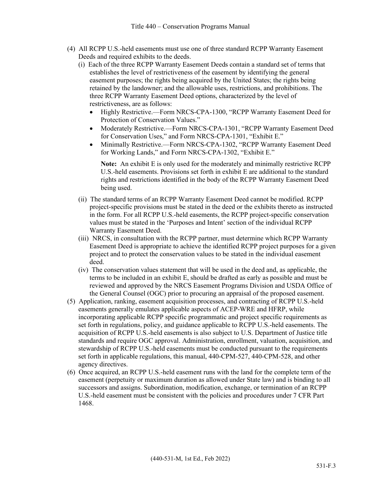- (4) All RCPP U.S.-held easements must use one of three standard RCPP Warranty Easement Deeds and required exhibits to the deeds.
	- (i) Each of the three RCPP Warranty Easement Deeds contain a standard set of terms that establishes the level of restrictiveness of the easement by identifying the general easement purposes; the rights being acquired by the United States; the rights being retained by the landowner; and the allowable uses, restrictions, and prohibitions. The three RCPP Warranty Easement Deed options, characterized by the level of restrictiveness, are as follows:
		- Highly Restrictive.—Form NRCS-CPA-1300, "RCPP Warranty Easement Deed for Protection of Conservation Values."
		- Moderately Restrictive.—Form NRCS-CPA-1301, "RCPP Warranty Easement Deed for Conservation Uses," and Form NRCS-CPA-1301, "Exhibit E."
		- Minimally Restrictive.—Form NRCS-CPA-1302, "RCPP Warranty Easement Deed for Working Lands," and Form NRCS-CPA-1302, "Exhibit E."

**Note:** An exhibit E is only used for the moderately and minimally restrictive RCPP U.S.-held easements. Provisions set forth in exhibit E are additional to the standard rights and restrictions identified in the body of the RCPP Warranty Easement Deed being used.

- (ii) The standard terms of an RCPP Warranty Easement Deed cannot be modified. RCPP project-specific provisions must be stated in the deed or the exhibits thereto as instructed in the form. For all RCPP U.S.-held easements, the RCPP project-specific conservation values must be stated in the 'Purposes and Intent' section of the individual RCPP Warranty Easement Deed.
- (iii) NRCS, in consultation with the RCPP partner, must determine which RCPP Warranty Easement Deed is appropriate to achieve the identified RCPP project purposes for a given project and to protect the conservation values to be stated in the individual easement deed.
- (iv) The conservation values statement that will be used in the deed and, as applicable, the terms to be included in an exhibit E, should be drafted as early as possible and must be reviewed and approved by the NRCS Easement Programs Division and USDA Office of the General Counsel (OGC) prior to procuring an appraisal of the proposed easement.
- (5) Application, ranking, easement acquisition processes, and contracting of RCPP U.S.-held easements generally emulates applicable aspects of ACEP-WRE and HFRP, while incorporating applicable RCPP specific programmatic and project specific requirements as set forth in regulations, policy, and guidance applicable to RCPP U.S.-held easements. The acquisition of RCPP U.S.-held easements is also subject to U.S. Department of Justice title standards and require OGC approval. Administration, enrollment, valuation, acquisition, and stewardship of RCPP U.S.-held easements must be conducted pursuant to the requirements set forth in applicable regulations, this manual, 440-CPM-527, 440-CPM-528, and other agency directives.
- (6) Once acquired, an RCPP U.S.-held easement runs with the land for the complete term of the easement (perpetuity or maximum duration as allowed under State law) and is binding to all successors and assigns. Subordination, modification, exchange, or termination of an RCPP U.S.-held easement must be consistent with the policies and procedures under 7 CFR Part 1468.